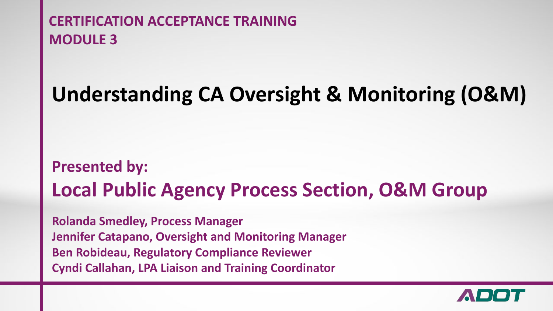### **Understanding CA Oversight & Monitoring (O&M)**

### **Presented by: Local Public Agency Process Section, O&M Group**

**Rolanda Smedley, Process Manager Jennifer Catapano, Oversight and Monitoring Manager Ben Robideau, Regulatory Compliance Reviewer Cyndi Callahan, LPA Liaison and Training Coordinator**

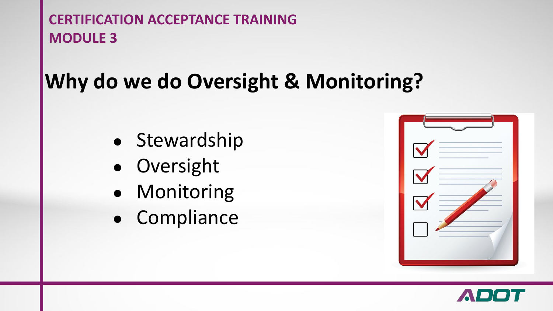# **Why do we do Oversight & Monitoring?**

- Stewardship
- Oversight
- Monitoring
- Compliance

| $\blacktriangleright$ |  |
|-----------------------|--|
| $\blacktriangleright$ |  |
|                       |  |
|                       |  |
|                       |  |

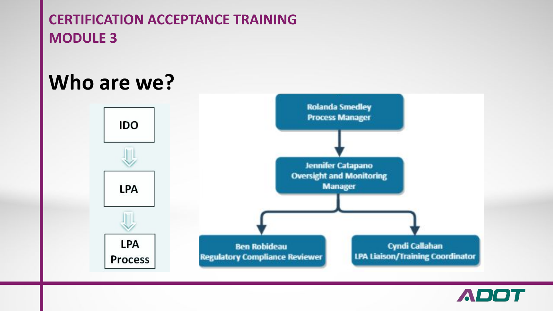### **Who are we?**



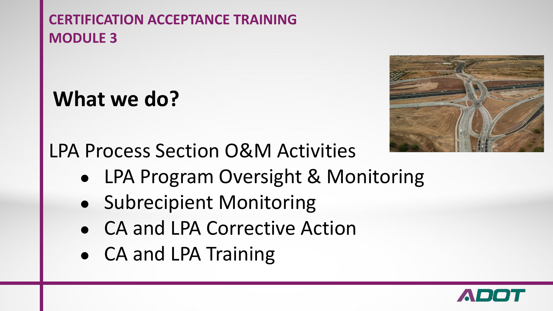# **What we do?**



LPA Process Section O&M Activities

- LPA Program Oversight & Monitoring
- Subrecipient Monitoring
- CA and LPA Corrective Action
- CA and LPA Training

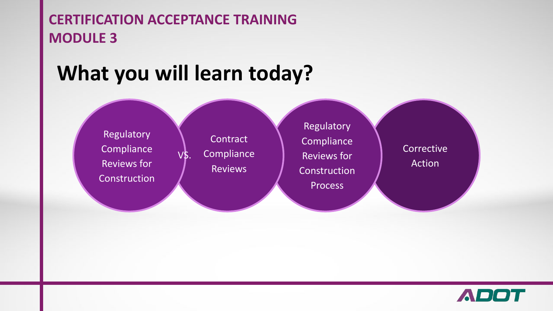## **What you will learn today?**

VS.

**Regulatory Compliance** Reviews for **Construction** 

**Contract Compliance** Reviews

Regulatory **Compliance** Reviews for Construction Process

**Corrective** Action

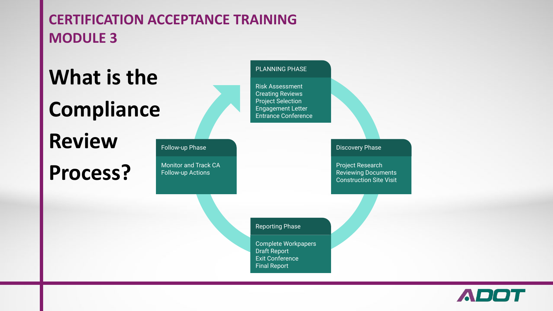# **What is the Compliance**

# **Review**

### **Process?**



Monitor and Track CA Follow-up Actions

#### Risk Assessment Creating Reviews Project Selection Engagement Letter Entrance Conference PLANNING PHASE

Discovery Phase

Project Research Reviewing Documents Construction Site Visit

Reporting Phase

Complete Workpapers Draft Report Exit Conference Final Report

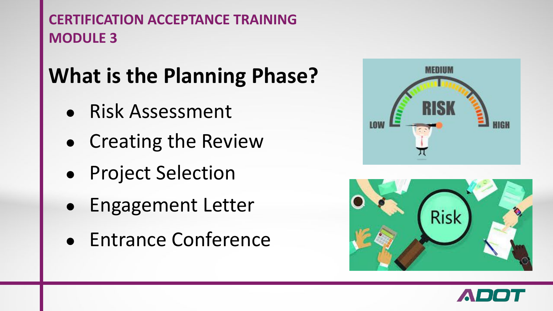# **What is the Planning Phase?**

- Risk Assessment
- Creating the Review
- Project Selection
- Engagement Letter
- Entrance Conference





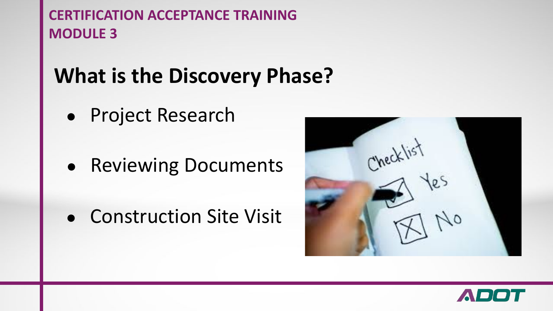# **What is the Discovery Phase?**

- Project Research
- Reviewing Documents
- Construction Site Visit



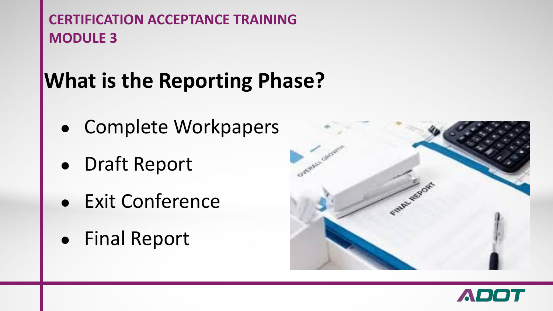# **What is the Reporting Phase?**

- Complete Workpapers
- Draft Report
- **Exit Conference**
- Final Report



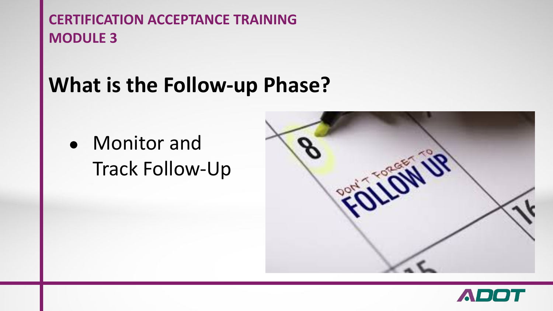### **What is the Follow-up Phase?**

● Monitor and Track Follow-Up



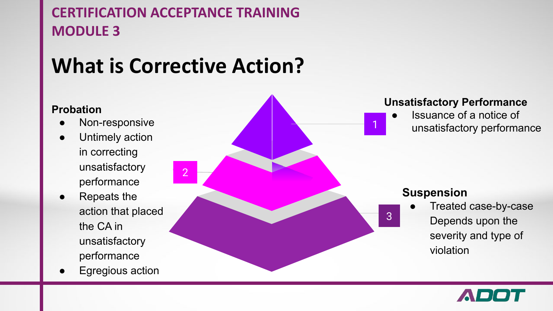## **What is Corrective Action?**

#### **Probation**

- Non-responsive
- Untimely action in correcting unsatisfactory performance
- **Repeats the** action that placed the CA in unsatisfactory performance
- **Egregious action**



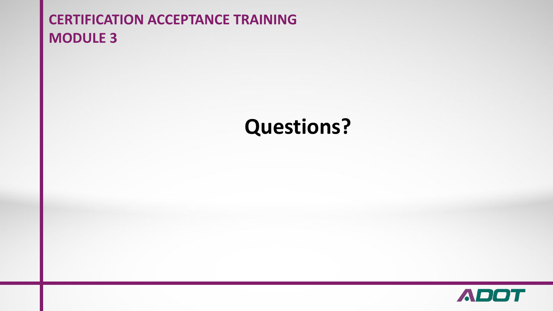### **Questions?**